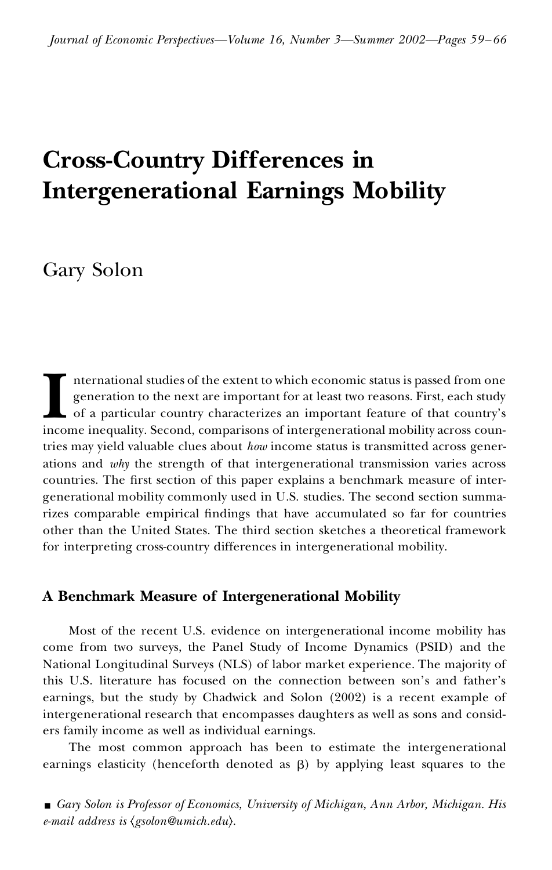# **Cross-Country Differences in Intergenerational Earnings Mobility**

Gary Solon

**I** nternational is<br>generation to<br>of a particular<br>income inequality. nternational studies of the extent to which economic status is passed from one generation to the next are important for at least two reasons. First, each study of a particular country characterizes an important feature of that country's income inequality. Second, comparisons of intergenerational mobility across countries may yield valuable clues about *how* income status is transmitted across generations and *why* the strength of that intergenerational transmission varies across countries. The first section of this paper explains a benchmark measure of intergenerational mobility commonly used in U.S. studies. The second section summarizes comparable empirical findings that have accumulated so far for countries other than the United States. The third section sketches a theoretical framework for interpreting cross-country differences in intergenerational mobility.

# **A Benchmark Measure of Intergenerational Mobility**

Most of the recent U.S. evidence on intergenerational income mobility has come from two surveys, the Panel Study of Income Dynamics (PSID) and the National Longitudinal Surveys (NLS) of labor market experience. The majority of this U.S. literature has focused on the connection between son's and father's earnings, but the study by Chadwick and Solon (2002) is a recent example of intergenerational research that encompasses daughters as well as sons and consid ers family income as well as individual earnings.

The most common approach has been to estimate the intergenerational earnings elasticity (henceforth denoted as  $\beta$ ) by applying least squares to the

y *Gary Solon is Professor of Economics, University of Michigan, Ann Arbor, Michigan. His e-mail address is gsolon@umich.edu .*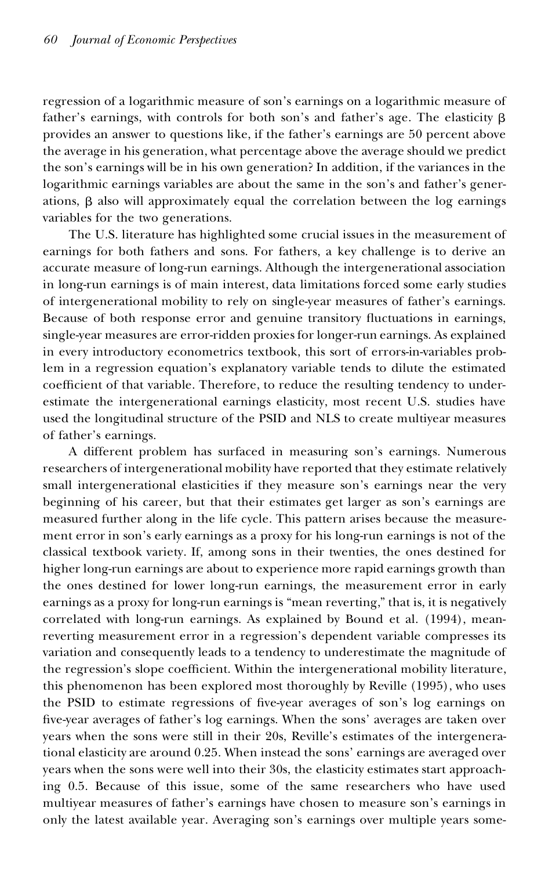regression of a logarithmic measure of son's earnings on a logarithmic measure of father's earnings, with controls for both son's and father's age. The elasticity  $\beta$ provides an answer to questions like, if the father's earnings are 50 percent above the average in his generation, what percentage above the average should we predict the son's earnings will be in his own generation? In addition, if the variances in the logarithmic earnings variables are about the same in the son's and father's generations,  $\beta$  also will approximately equal the correlation between the log earnings variables for the two generations.

The U.S. literature has highlighted some crucial issues in the measurement of earnings for both fathers and sons. For fathers, a key challenge is to derive an accurate measure of long-run earnings. Although the intergenerational association in long-run earnings is of main interest, data limitations forced some early studies of intergenerational mobility to rely on single-year measures of father's earnings. Because of both response error and genuine transitory fluctuations in earnings, single-year measures are error-ridden proxies for longer-run earnings. As explained in every introductory econometrics textbook, this sort of errors-in-variables problem in a regression equation's explanatory variable tends to dilute the estimated coefficient of that variable. Therefore, to reduce the resulting tendency to underestimate the intergenerational earnings elasticity, most recent U.S. studies have used the longitudinal structure of the PSID and NLS to create multiyear measures of father's earnings.

A different problem has surfaced in measuring son's earnings. Numerous researchers of intergenerational mobility have reported that they estimate relatively small intergenerational elasticities if they measure son's earnings near the very beginning of his career, but that their estimates get larger as son's earnings are measured further along in the life cycle. This pattern arises because the measure ment error in son's early earnings as a proxy for his long-run earnings is not of the classical textbook variety. If, among sons in their twenties, the ones destined for higher long-run earnings are about to experience more rapid earnings growth than the ones destined for lower long-run earnings, the measurement error in early earnings as a proxy for long-run earnings is "mean reverting," that is, it is negatively correlated with long-run earnings. As explained by Bound et al. (1994), meanreverting measurement error in a regression's dependent variable compresses its variation and consequently leads to a tendency to underestimate the magnitude of the regression's slope coefficient. Within the intergenerational mobility literature, this phenomenon has been explored most thoroughly by Reville (1995), who uses the PSID to estimate regressions of five-year averages of son's log earnings on five-year averages of father's log earnings. When the sons' averages are taken over years when the sons were still in their 20s, Reville's estimates of the intergenerational elasticity are around 0.25. When instead the sons' earnings are averaged over years when the sons were well into their 30s, the elasticity estimates start approaching 0.5. Because of this issue, some of the same researchers who have used multiyear measures of father's earnings have chosen to measure son's earnings in only the latest available year. Averaging son's earnings over multiple years some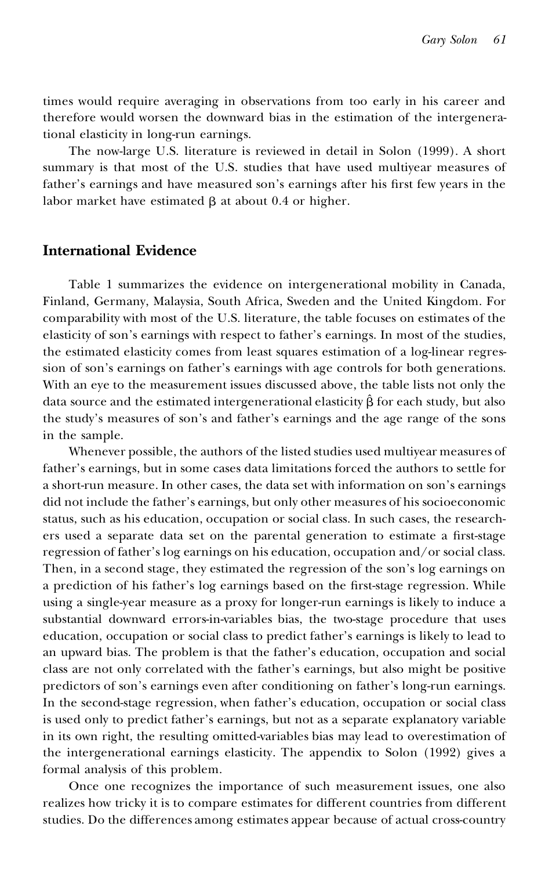times would require averaging in observations from too early in his career and therefore would worsen the downward bias in the estimation of the intergenerational elasticity in long-run earnings.

The now-large U.S. literature is reviewed in detail in Solon (1999). A short summary is that most of the U.S. studies that have used multiyear measures of father's earnings and have measured son's earnings after his first few years in the labor market have estimated  $\beta$  at about 0.4 or higher.

### **International Evidence**

Table 1 summarizes the evidence on intergenerational mobility in Canada, Finland, Germany, Malaysia, South Africa, Sweden and the United Kingdom. For comparability with most of the U.S. literature, the table focuses on estimates of the elasticity of son's earnings with respect to father's earnings. In most of the studies, the estimated elasticity comes from least squares estimation of a log-linear regression of son's earnings on father's earnings with age controls for both generations. With an eye to the measurement issues discussed above, the table lists not only the data source and the estimated intergenerational elasticity  $\hat{\beta}$  for each study, but also the study's measures of son's and father's earnings and the age range of the sons in the sample.

Whenever possible, the authors of the listed studies used multiyear measures of father's earnings, but in some cases data limitations forced the authors to settle for a short-run measure. In other cases, the data set with information on son's earnings did not include the father's earnings, but only other measures of his socioeconomic status, such as his education, occupation or social class. In such cases, the research ers used a separate data set on the parental generation to estimate a first-stage regression of father's log earnings on his education, occupation and/or social class. Then, in a second stage, they estimated the regression of the son's log earnings on a prediction of his father's log earnings based on the first-stage regression. While using a single-year measure as a proxy for longer-run earnings is likely to induce a substantial downward errors-in-variables bias, the two-stage procedure that uses education, occupation or social class to predict father's earnings is likely to lead to an upward bias. The problem is that the father's education, occupation and social class are not only correlated with the father's earnings, but also might be positive predictors of son's earnings even after conditioning on father's long-run earnings. In the second-stage regression, when father's education, occupation or social class is used only to predict father's earnings, but not as a separate explanatory variable in its own right, the resulting omitted-variables bias may lead to overestimation of the intergenerational earnings elasticity. The appendix to Solon (1992) gives a formal analysis of this problem.

Once one recognizes the importance of such measurement issues, one also realizes how tricky it is to compare estimates for different countries from different studies. Do the differences among estimates appear because of actual cross-country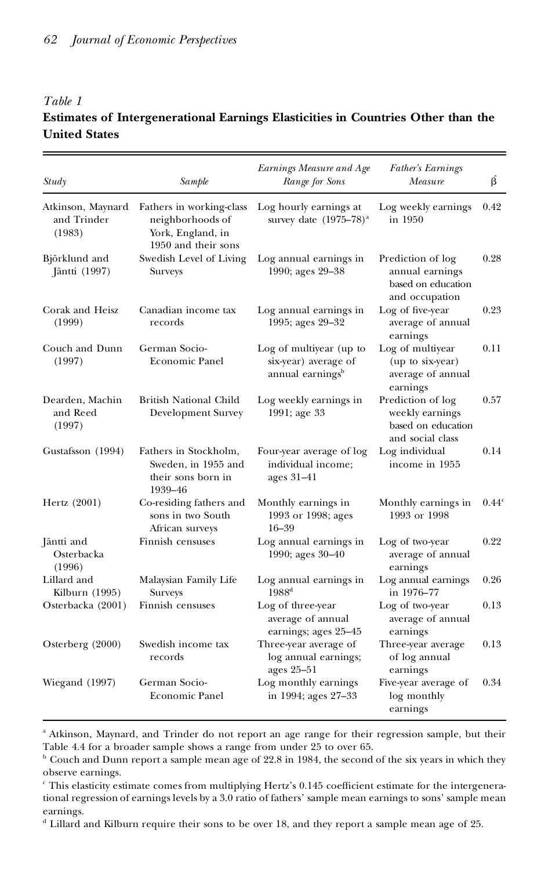## *Table 1* **Estimates of Intergenerational Earnings Elasticities in Countries Other than the United States**

| Study                                      | Sample                                                                                   | Earnings Measure and Age<br>Range for Sons                                      | Father's Earnings<br>Measure                                                   | βÎ                |
|--------------------------------------------|------------------------------------------------------------------------------------------|---------------------------------------------------------------------------------|--------------------------------------------------------------------------------|-------------------|
| Atkinson, Maynard<br>and Trinder<br>(1983) | Fathers in working-class<br>neighborhoods of<br>York, England, in<br>1950 and their sons | Log hourly earnings at<br>survey date $(1975-78)^{a}$                           | Log weekly earnings<br>in 1950                                                 | 0.42              |
| Björklund and<br>Jäntti (1997)             | Swedish Level of Living<br><b>Surveys</b>                                                | Log annual earnings in<br>1990; ages 29-38                                      | Prediction of log<br>annual earnings<br>based on education<br>and occupation   | 0.28              |
| Corak and Heisz<br>(1999)                  | Canadian income tax<br>records                                                           | Log annual earnings in<br>1995; ages 29-32                                      | Log of five-year<br>average of annual<br>earnings                              | 0.23              |
| Couch and Dunn<br>(1997)                   | German Socio-<br><b>Economic Panel</b>                                                   | Log of multiyear (up to<br>six-year) average of<br>annual earnings <sup>b</sup> | Log of multiyear<br>(up to six-year)<br>average of annual<br>earnings          | 0.11              |
| Dearden, Machin<br>and Reed<br>(1997)      | British National Child<br>Development Survey                                             | Log weekly earnings in<br>1991; age 33                                          | Prediction of log<br>weekly earnings<br>based on education<br>and social class | 0.57              |
| Gustafsson (1994)                          | Fathers in Stockholm,<br>Sweden, in 1955 and<br>their sons born in<br>1939–46            | Four-year average of log<br>individual income;<br>ages 31–41                    | Log individual<br>income in 1955                                               | 0.14              |
| Hertz (2001)                               | Co-residing fathers and<br>sons in two South<br>African surveys                          | Monthly earnings in<br>1993 or 1998; ages<br>$16 - 39$                          | Monthly earnings in<br>1993 or 1998                                            | 0.44 <sup>c</sup> |
| Jäntti and<br>Osterbacka<br>(1996)         | Finnish censuses                                                                         | Log annual earnings in<br>1990; ages 30-40                                      | Log of two-year<br>average of annual<br>earnings                               | 0.22              |
| Lillard and<br>Kilburn (1995)              | Malaysian Family Life<br>Surveys                                                         | Log annual earnings in<br>$1988^{\rm d}$                                        | Log annual earnings<br>in 1976-77                                              | 0.26              |
| Osterbacka (2001)                          | Finnish censuses                                                                         | Log of three-year<br>average of annual<br>earnings; ages 25-45                  | Log of two-year<br>average of annual<br>earnings                               | 0.13              |
| Osterberg (2000)                           | Swedish income tax<br>records                                                            | Three-year average of<br>log annual earnings;<br>ages 25-51                     | Three-year average<br>of log annual<br>earnings                                | 0.13              |
| Wiegand (1997)                             | German Socio-<br><b>Economic Panel</b>                                                   | Log monthly earnings<br>in 1994; ages 27-33                                     | Five-year average of<br>log monthly<br>earnings                                | 0.34              |

<sup>a</sup> Atkinson, Maynard, and Trinder do not report an age range for their regression sample, but their Table 4.4 for a broader sample shows a range from under 25 to over 65.

<sup>b</sup> Couch and Dunn report a sample mean age of 22.8 in 1984, the second of the six years in which they observe earnings.

 $\degree$  This elasticity estimate comes from multiplying Hertz's 0.145 coefficient estimate for the intergenerational regression of earnings levels by a 3.0 ratio of fathers' sample mean earnings to sons' sample mean earnings.

 $^{\text{d}}$  Lillard and Kilburn require their sons to be over 18, and they report a sample mean age of 25.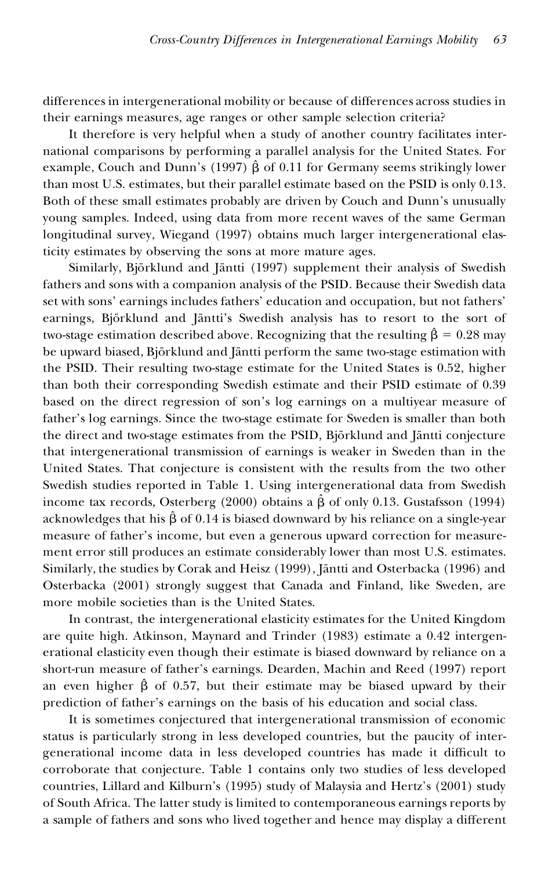differences in intergenerational mobility or because of differences across studies in their earnings measures, age ranges or other sample selection criteria?

It therefore is very helpful when a study of another country facilitates international comparisons by performing a parallel analysis for the United States. For example, Couch and Dunn's (1997)  $\hat{\beta}$  of 0.11 for Germany seems strikingly lower than most U.S. estimates, but their parallel estimate based on the PSID is only 0.13. Both of these small estimates probably are driven by Couch and Dunn's unusually young samples. Indeed, using data from more recent waves of the same German longitudinal survey, Wiegand (1997) obtains much larger intergenerational elasticity estimates by observing the sons at more mature ages.

Similarly, Björklund and Jäntti (1997) supplement their analysis of Swedish fathers and sons with a companion analysis of the PSID. Because their Swedish data set with sons' earnings includes fathers' education and occupation, but not fathers' earnings, Björklund and Jäntti's Swedish analysis has to resort to the sort of two-stage estimation described above. Recognizing that the resulting  $\hat{\beta} = 0.28$  may be upward biased, Björklund and Jäntti perform the same two-stage estimation with the PSID. Their resulting two-stage estimate for the United States is 0.52, higher than both their corresponding Swedish estimate and their PSID estimate of 0.39 based on the direct regression of son's log earnings on a multiyear measure of father's log earnings. Since the two-stage estimate for Sweden is smaller than both the direct and two-stage estimates from the PSID, Björklund and Jäntti conjecture that intergenerational transmission of earnings is weaker in Sweden than in the United States. That conjecture is consistent with the results from the two other Swedish studies reported in Table 1. Using intergenerational data from Swedish income tax records, Osterberg (2000) obtains a  $\hat{\beta}$  of only 0.13. Gustafsson (1994) acknowledges that his  $\hat{\beta}$  of 0.14 is biased downward by his reliance on a single-year measure of father's income, but even a generous upward correction for measure ment error still produces an estimate considerably lower than most U.S. estimates. Similarly, the studies by Corak and Heisz (1999), Jäntti and Osterbacka (1996) and Osterbacka (2001) strongly suggest that Canada and Finland, like Sweden, are more mobile societies than is the United States.

In contrast, the intergenerational elasticity estimates for the United Kingdom are quite high. Atkinson, Maynard and Trinder (1983) estimate a 0.42 intergenerational elasticity even though their estimate is biased downward by reliance on a short-run measure of father's earnings. Dearden, Machin and Reed (1997) report an even higher  $\hat{\beta}$  of 0.57, but their estimate may be biased upward by their prediction of father's earnings on the basis of his education and social class.

It is sometimes conjectured that intergenerational transmission of economic status is particularly strong in less developed countries, but the paucity of intergenerational income data in less developed countries has made it difficult to corroborate that conjecture. Table 1 contains only two studies of less developed countries, Lillard and Kilburn's (1995) study of Malaysia and Hertz's (2001) study of South Africa. The latter study is limited to contemporaneous earnings reports by a sample of fathers and sons who lived together and hence may display a different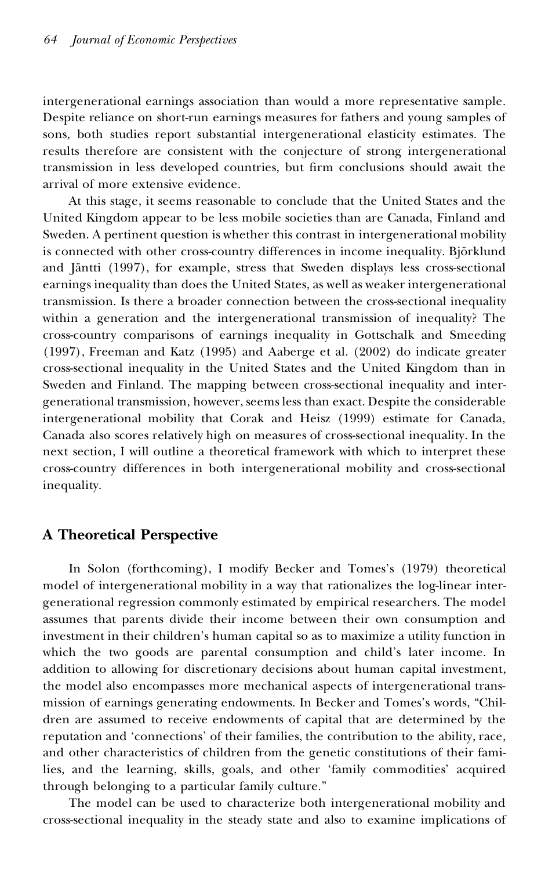intergenerational earnings association than would a more representative sample. Despite reliance on short-run earnings measures for fathers and young samples of sons, both studies report substantial intergenerational elasticity estimates. The results therefore are consistent with the conjecture of strong intergenerational transmission in less developed countries, but firm conclusions should await the arrival of more extensive evidence.

At this stage, it seems reasonable to conclude that the United States and the United Kingdom appear to be less mobile societies than are Canada, Finland and Sweden. A pertinent question is whether this contrast in intergenerational mobility is connected with other cross-country differences in income inequality. Björklund and Jäntti (1997), for example, stress that Sweden displays less cross-sectional earnings inequality than does the United States, as well as weaker intergenerational transmission. Is there a broader connection between the cross-sectional inequality within a generation and the intergenerational transmission of inequality? The cross-country comparisons of earnings inequality in Gottschalk and Smeeding (1997), Freeman and Katz (1995) and Aaberge et al. (2002) do indicate greater cross-sectional inequality in the United States and the United Kingdom than in Sweden and Finland. The mapping between cross-sectional inequality and intergenerational transmission, however, seems less than exact. Despite the considerable intergenerational mobility that Corak and Heisz (1999) estimate for Canada, Canada also scores relatively high on measures of cross-sectional inequality. In the next section, I will outline a theoretical framework with which to interpret these cross-country differences in both intergenerational mobility and cross-sectional inequality.

### **A Theoretical Perspective**

In Solon (forthcoming), I modify Becker and Tomes's (1979) theoretical model of intergenerational mobility in a way that rationalizes the log-linear intergenerational regression commonly estimated by empirical researchers. The model assumes that parents divide their income between their own consumption and investment in their children's human capital so as to maximize a utility function in which the two goods are parental consumption and child's later income. In addition to allowing for discretionary decisions about human capital investment, the model also encompasses more mechanical aspects of intergenerational transmission of earnings generating endowments. In Becker and Tomes's words, "Children are assumed to receive endowments of capital that are determined by the reputation and 'connections' of their families, the contribution to the ability, race, and other characteristics of children from the genetic constitutions of their families, and the learning, skills, goals, and other 'family commodities' acquired through belonging to a particular family culture."

The model can be used to characterize both intergenerational mobility and cross-sectional inequality in the steady state and also to examine implications of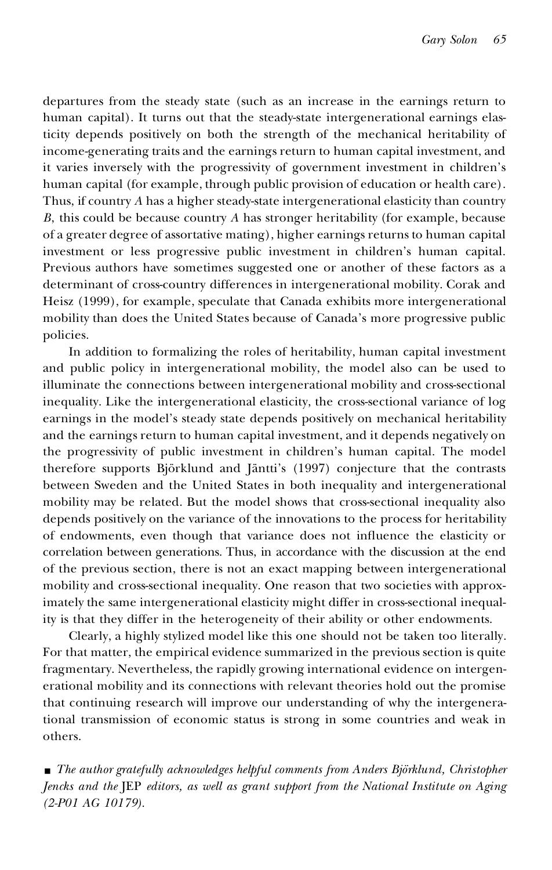departures from the steady state (such as an increase in the earnings return to human capital). It turns out that the steady-state intergenerational earnings elasticity depends positively on both the strength of the mechanical heritability of income-generating traits and the earnings return to human capital investment, and it varies inversely with the progressivity of government investment in children's human capital (for example, through public provision of education or health care). Thus, if country *A* has a higher steady-state intergenerational elasticity than country *B*, this could be because country *A* has stronger heritability (for example, because of a greater degree of assortative mating), higher earnings returns to human capital investment or less progressive public investment in children's human capital. Previous authors have sometimes suggested one or another of these factors as a determinant of cross-country differences in intergenerational mobility. Corak and Heisz (1999), for example, speculate that Canada exhibits more intergenerational mobility than does the United States because of Canada's more progressive public policies.

In addition to formalizing the roles of heritability, human capital investment and public policy in intergenerational mobility, the model also can be used to illuminate the connections between intergenerational mobility and cross-sectional inequality. Like the intergenerational elasticity, the cross-sectional variance of log earnings in the model's steady state depends positively on mechanical heritability and the earnings return to human capital investment, and it depends negatively on the progressivity of public investment in children's human capital. The model therefore supports Björklund and Jäntti's (1997) conjecture that the contrasts between Sweden and the United States in both inequality and intergenerational mobility may be related. But the model shows that cross-sectional inequality also depends positively on the variance of the innovations to the process for heritability of endowments, even though that variance does not influence the elasticity or correlation between generations. Thus, in accordance with the discussion at the end of the previous section, there is not an exact mapping between intergenerational mobility and cross-sectional inequality. One reason that two societies with approximately the same intergenerational elasticity might differ in cross-sectional inequality is that they differ in the heterogeneity of their ability or other endowments.

Clearly, a highly stylized model like this one should not be taken too literally. For that matter, the empirical evidence summarized in the previous section is quite fragmentary. Nevertheless, the rapidly growing international evidence on intergenerational mobility and its connections with relevant theories hold out the promise that continuing research will improve our understanding of why the intergenerational transmission of economic status is strong in some countries and weak in others.

■ *The author gratefully acknowledges helpful comments from Anders Björklund, Christopher Jencks and the* JEP *editors, as well as grant support from the National Institute on Aging (2-P01 AG 10179).*